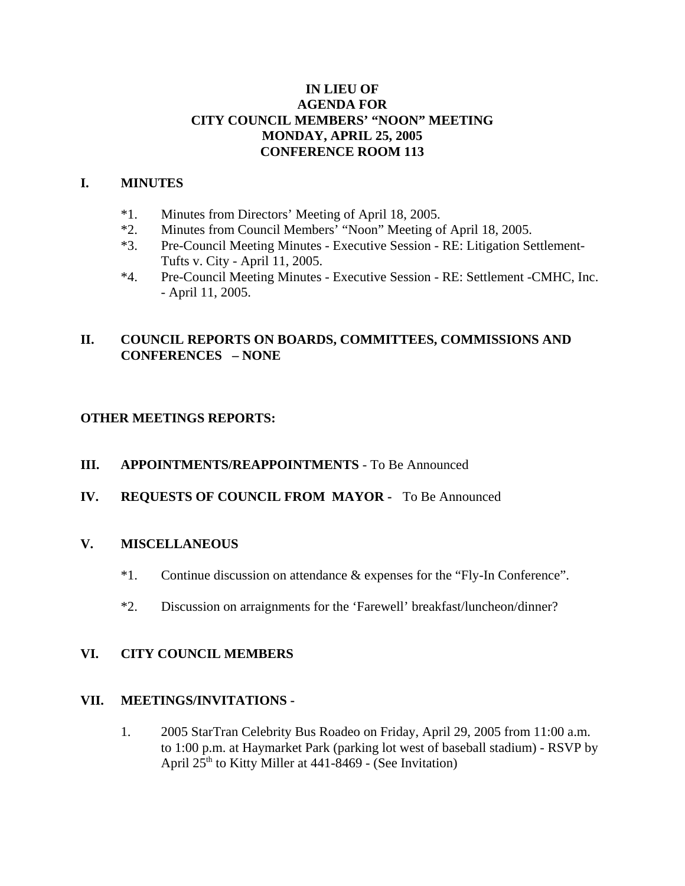## **IN LIEU OF AGENDA FOR CITY COUNCIL MEMBERS' "NOON" MEETING MONDAY, APRIL 25, 2005 CONFERENCE ROOM 113**

#### **I. MINUTES**

- \*1. Minutes from Directors' Meeting of April 18, 2005.
- \*2. Minutes from Council Members' "Noon" Meeting of April 18, 2005.
- \*3. Pre-Council Meeting Minutes Executive Session RE: Litigation Settlement-Tufts v. City - April 11, 2005.
- \*4. Pre-Council Meeting Minutes Executive Session RE: Settlement -CMHC, Inc. - April 11, 2005.

# **II. COUNCIL REPORTS ON BOARDS, COMMITTEES, COMMISSIONS AND CONFERENCES – NONE**

## **OTHER MEETINGS REPORTS:**

- **III. APPOINTMENTS/REAPPOINTMENTS**  To Be Announced
- **IV. REQUESTS OF COUNCIL FROM MAYOR** To Be Announced

## **V. MISCELLANEOUS**

- \*1. Continue discussion on attendance & expenses for the "Fly-In Conference".
- \*2. Discussion on arraignments for the 'Farewell' breakfast/luncheon/dinner?

## **VI. CITY COUNCIL MEMBERS**

#### **VII. MEETINGS/INVITATIONS -**

1. 2005 StarTran Celebrity Bus Roadeo on Friday, April 29, 2005 from 11:00 a.m. to 1:00 p.m. at Haymarket Park (parking lot west of baseball stadium) - RSVP by April  $25<sup>th</sup>$  to Kitty Miller at 441-8469 - (See Invitation)